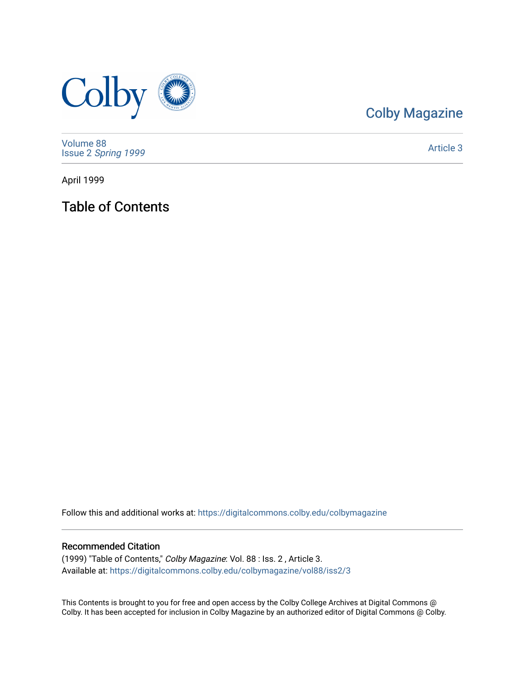

### [Colby Magazine](https://digitalcommons.colby.edu/colbymagazine)

[Volume 88](https://digitalcommons.colby.edu/colbymagazine/vol88) Issue 2 [Spring 1999](https://digitalcommons.colby.edu/colbymagazine/vol88/iss2) 

[Article 3](https://digitalcommons.colby.edu/colbymagazine/vol88/iss2/3) 

April 1999

Table of Contents

Follow this and additional works at: [https://digitalcommons.colby.edu/colbymagazine](https://digitalcommons.colby.edu/colbymagazine?utm_source=digitalcommons.colby.edu%2Fcolbymagazine%2Fvol88%2Fiss2%2F3&utm_medium=PDF&utm_campaign=PDFCoverPages)

### Recommended Citation

(1999) "Table of Contents," Colby Magazine: Vol. 88 : Iss. 2 , Article 3. Available at: [https://digitalcommons.colby.edu/colbymagazine/vol88/iss2/3](https://digitalcommons.colby.edu/colbymagazine/vol88/iss2/3?utm_source=digitalcommons.colby.edu%2Fcolbymagazine%2Fvol88%2Fiss2%2F3&utm_medium=PDF&utm_campaign=PDFCoverPages)

This Contents is brought to you for free and open access by the Colby College Archives at Digital Commons @ Colby. It has been accepted for inclusion in Colby Magazine by an authorized editor of Digital Commons @ Colby.